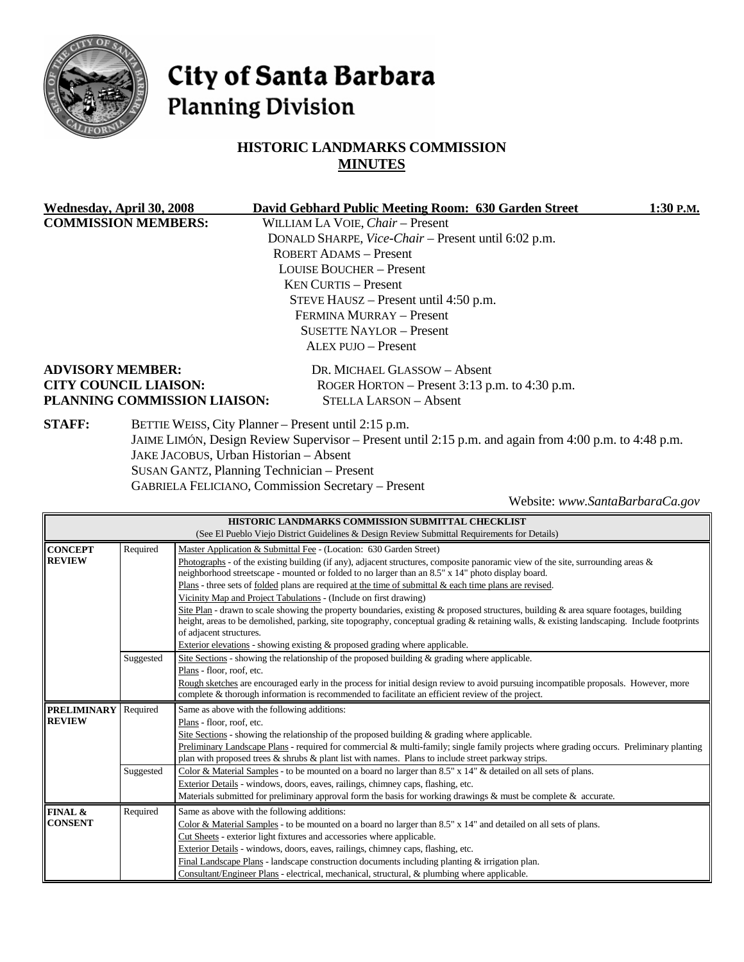

# City of Santa Barbara **Planning Division**

# **HISTORIC LANDMARKS COMMISSION MINUTES**

|                                 | Wednesday, April 30, 2008    | David Gebhard Public Meeting Room: 630 Garden Street                                                  | $1:30$ P.M. |
|---------------------------------|------------------------------|-------------------------------------------------------------------------------------------------------|-------------|
| <b>COMMISSION MEMBERS:</b>      |                              | WILLIAM LA VOIE, Chair - Present                                                                      |             |
|                                 |                              | DONALD SHARPE, Vice-Chair - Present until 6:02 p.m.                                                   |             |
|                                 |                              | <b>ROBERT ADAMS - Present</b>                                                                         |             |
|                                 |                              | <b>LOUISE BOUCHER – Present</b>                                                                       |             |
|                                 |                              | <b>KEN CURTIS – Present</b>                                                                           |             |
|                                 |                              | STEVE HAUSZ – Present until 4:50 p.m.                                                                 |             |
|                                 |                              | FERMINA MURRAY - Present                                                                              |             |
| <b>SUSETTE NAYLOR – Present</b> |                              |                                                                                                       |             |
|                                 |                              | ALEX PUJO - Present                                                                                   |             |
|                                 | <b>ADVISORY MEMBER:</b>      | DR. MICHAEL GLASSOW - Absent                                                                          |             |
|                                 | <b>CITY COUNCIL LIAISON:</b> | ROGER HORTON – Present $3:13$ p.m. to $4:30$ p.m.                                                     |             |
|                                 | PLANNING COMMISSION LIAISON: | <b>STELLA LARSON - Absent</b>                                                                         |             |
| <b>STAFF:</b>                   |                              | BETTIE WEISS, City Planner - Present until 2:15 p.m.                                                  |             |
|                                 |                              | JAIME LIMÓN, Design Review Supervisor – Present until 2:15 p.m. and again from 4:00 p.m. to 4:48 p.m. |             |
|                                 |                              | JAKE JACOBUS, Urban Historian - Absent                                                                |             |
|                                 |                              | SUSAN GANTZ, Planning Technician – Present                                                            |             |

GABRIELA FELICIANO, Commission Secretary – Present

Website: *www.SantaBarbaraCa.gov*

| HISTORIC LANDMARKS COMMISSION SUBMITTAL CHECKLIST                                            |           |                                                                                                                                                                                                                                                                                                                                                                                                                                                                                                                                          |  |  |
|----------------------------------------------------------------------------------------------|-----------|------------------------------------------------------------------------------------------------------------------------------------------------------------------------------------------------------------------------------------------------------------------------------------------------------------------------------------------------------------------------------------------------------------------------------------------------------------------------------------------------------------------------------------------|--|--|
| (See El Pueblo Viejo District Guidelines & Design Review Submittal Requirements for Details) |           |                                                                                                                                                                                                                                                                                                                                                                                                                                                                                                                                          |  |  |
| <b>CONCEPT</b><br><b>REVIEW</b>                                                              | Required  | Master Application & Submittal Fee - (Location: 630 Garden Street)<br>Photographs - of the existing building (if any), adjacent structures, composite panoramic view of the site, surrounding areas $\&$<br>neighborhood streetscape - mounted or folded to no larger than an 8.5" x 14" photo display board.<br>Plans - three sets of folded plans are required at the time of submittal $\&$ each time plans are revised.                                                                                                              |  |  |
|                                                                                              |           | Vicinity Map and Project Tabulations - (Include on first drawing)<br>Site Plan - drawn to scale showing the property boundaries, existing & proposed structures, building & area square footages, building<br>height, areas to be demolished, parking, site topography, conceptual grading & retaining walls, & existing landscaping. Include footprints<br>of adjacent structures.<br>Exterior elevations - showing existing $\&$ proposed grading where applicable.                                                                    |  |  |
|                                                                                              | Suggested | Site Sections - showing the relationship of the proposed building & grading where applicable.<br>Plans - floor, roof, etc.<br>Rough sketches are encouraged early in the process for initial design review to avoid pursuing incompatible proposals. However, more<br>complete & thorough information is recommended to facilitate an efficient review of the project.                                                                                                                                                                   |  |  |
| <b>PRELIMINARY</b><br><b>REVIEW</b>                                                          | Required  | Same as above with the following additions:<br>Plans - floor, roof, etc.<br>Site Sections - showing the relationship of the proposed building $\&$ grading where applicable.<br>Preliminary Landscape Plans - required for commercial & multi-family; single family projects where grading occurs. Preliminary planting<br>plan with proposed trees $\&$ shrubs $\&$ plant list with names. Plans to include street parkway strips.                                                                                                      |  |  |
|                                                                                              | Suggested | Color & Material Samples - to be mounted on a board no larger than 8.5" x 14" & detailed on all sets of plans.<br>Exterior Details - windows, doors, eaves, railings, chimney caps, flashing, etc.<br>Materials submitted for preliminary approval form the basis for working drawings & must be complete & accurate.                                                                                                                                                                                                                    |  |  |
| FINAL &<br><b>CONSENT</b>                                                                    | Required  | Same as above with the following additions:<br>Color & Material Samples - to be mounted on a board no larger than $8.5" \times 14"$ and detailed on all sets of plans.<br>Cut Sheets - exterior light fixtures and accessories where applicable.<br>Exterior Details - windows, doors, eaves, railings, chimney caps, flashing, etc.<br>Final Landscape Plans - landscape construction documents including planting $&$ irrigation plan.<br>Consultant/Engineer Plans - electrical, mechanical, structural, & plumbing where applicable. |  |  |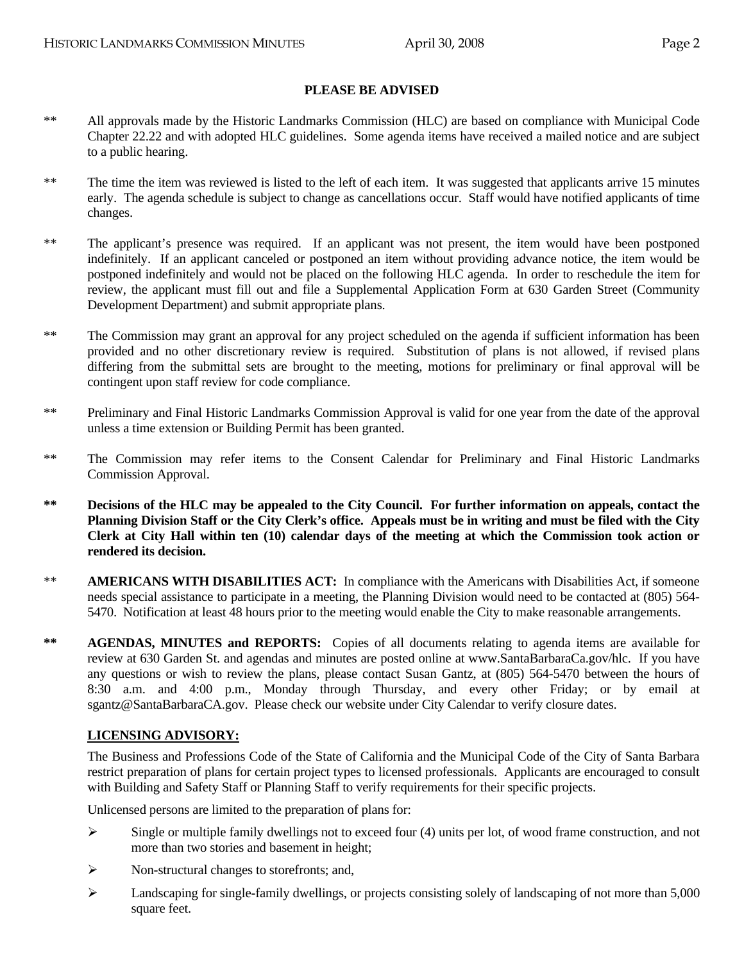#### **PLEASE BE ADVISED**

- \*\* All approvals made by the Historic Landmarks Commission (HLC) are based on compliance with Municipal Code Chapter 22.22 and with adopted HLC guidelines. Some agenda items have received a mailed notice and are subject to a public hearing.
- \*\* The time the item was reviewed is listed to the left of each item. It was suggested that applicants arrive 15 minutes early. The agenda schedule is subject to change as cancellations occur. Staff would have notified applicants of time changes.
- \*\* The applicant's presence was required. If an applicant was not present, the item would have been postponed indefinitely. If an applicant canceled or postponed an item without providing advance notice, the item would be postponed indefinitely and would not be placed on the following HLC agenda. In order to reschedule the item for review, the applicant must fill out and file a Supplemental Application Form at 630 Garden Street (Community Development Department) and submit appropriate plans.
- \*\* The Commission may grant an approval for any project scheduled on the agenda if sufficient information has been provided and no other discretionary review is required. Substitution of plans is not allowed, if revised plans differing from the submittal sets are brought to the meeting, motions for preliminary or final approval will be contingent upon staff review for code compliance.
- \*\* Preliminary and Final Historic Landmarks Commission Approval is valid for one year from the date of the approval unless a time extension or Building Permit has been granted.
- \*\* The Commission may refer items to the Consent Calendar for Preliminary and Final Historic Landmarks Commission Approval.
- **\*\* Decisions of the HLC may be appealed to the City Council. For further information on appeals, contact the Planning Division Staff or the City Clerk's office. Appeals must be in writing and must be filed with the City Clerk at City Hall within ten (10) calendar days of the meeting at which the Commission took action or rendered its decision.**
- \*\* **AMERICANS WITH DISABILITIES ACT:** In compliance with the Americans with Disabilities Act, if someone needs special assistance to participate in a meeting, the Planning Division would need to be contacted at (805) 564- 5470. Notification at least 48 hours prior to the meeting would enable the City to make reasonable arrangements.
- \*\* **AGENDAS, MINUTES and REPORTS:** Copies of all documents relating to agenda items are available for review at 630 Garden St. and agendas and minutes are posted online at www.SantaBarbaraCa.gov/hlc. If you have any questions or wish to review the plans, please contact Susan Gantz, at (805) 564-5470 between the hours of 8:30 a.m. and 4:00 p.m., Monday through Thursday, and every other Friday; or by email at sgantz@SantaBarbaraCA.gov. Please check our website under City Calendar to verify closure dates.

#### **LICENSING ADVISORY:**

The Business and Professions Code of the State of California and the Municipal Code of the City of Santa Barbara restrict preparation of plans for certain project types to licensed professionals. Applicants are encouraged to consult with Building and Safety Staff or Planning Staff to verify requirements for their specific projects.

Unlicensed persons are limited to the preparation of plans for:

- $\triangleright$  Single or multiple family dwellings not to exceed four (4) units per lot, of wood frame construction, and not more than two stories and basement in height;
- ¾ Non-structural changes to storefronts; and,
- ¾ Landscaping for single-family dwellings, or projects consisting solely of landscaping of not more than 5,000 square feet.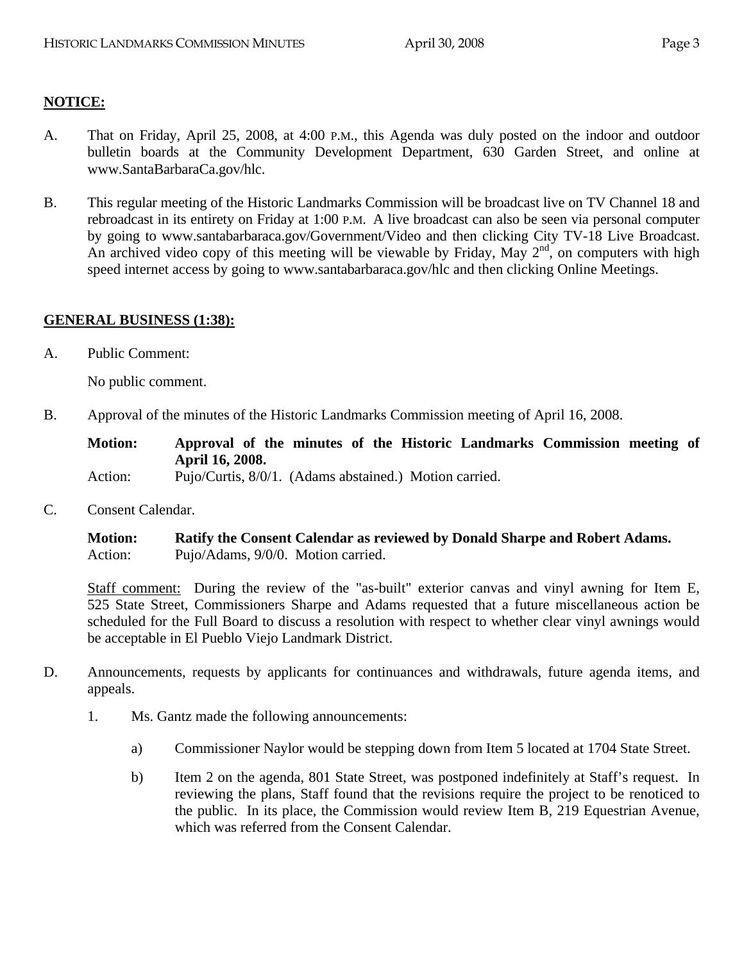## **NOTICE:**

- A. That on Friday, April 25, 2008, at 4:00 P.M., this Agenda was duly posted on the indoor and outdoor bulletin boards at the Community Development Department, 630 Garden Street, and online at www.SantaBarbaraCa.gov/hlc.
- B. This regular meeting of the Historic Landmarks Commission will be broadcast live on TV Channel 18 and rebroadcast in its entirety on Friday at 1:00 P.M. A live broadcast can also be seen via personal computer by going to www.santabarbaraca.gov/Government/Video and then clicking City TV-18 Live Broadcast. An archived video copy of this meeting will be viewable by Friday, May  $2<sup>nd</sup>$ , on computers with high speed internet access by going to www.santabarbaraca.gov/hlc and then clicking Online Meetings.

#### **GENERAL BUSINESS (1:38):**

A. Public Comment:

No public comment.

B. Approval of the minutes of the Historic Landmarks Commission meeting of April 16, 2008.

**Motion: Approval of the minutes of the Historic Landmarks Commission meeting of April 16, 2008.**  Action: Pujo/Curtis, 8/0/1. (Adams abstained.) Motion carried.

C. Consent Calendar.

**Motion: Ratify the Consent Calendar as reviewed by Donald Sharpe and Robert Adams.**  Action: Pujo/Adams, 9/0/0. Motion carried.

Staff comment: During the review of the "as-built" exterior canvas and vinyl awning for Item E, 525 State Street, Commissioners Sharpe and Adams requested that a future miscellaneous action be scheduled for the Full Board to discuss a resolution with respect to whether clear vinyl awnings would be acceptable in El Pueblo Viejo Landmark District.

- D. Announcements, requests by applicants for continuances and withdrawals, future agenda items, and appeals.
	- 1. Ms. Gantz made the following announcements:
		- a) Commissioner Naylor would be stepping down from Item 5 located at 1704 State Street.
		- b) Item 2 on the agenda, 801 State Street, was postponed indefinitely at Staff's request. In reviewing the plans, Staff found that the revisions require the project to be renoticed to the public. In its place, the Commission would review Item B, 219 Equestrian Avenue, which was referred from the Consent Calendar.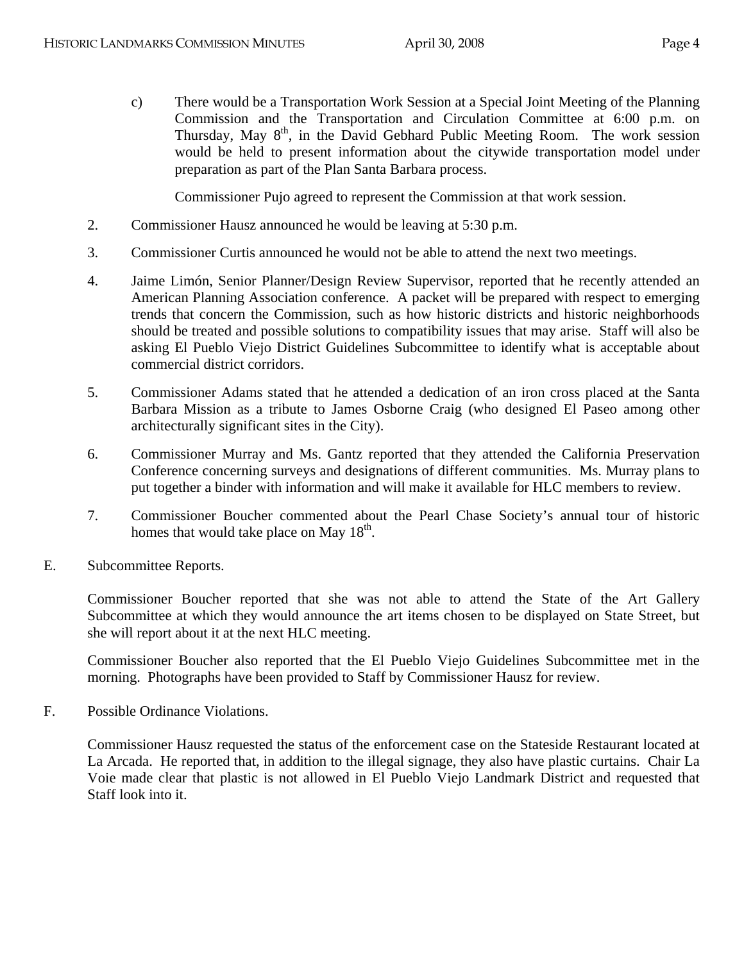c) There would be a Transportation Work Session at a Special Joint Meeting of the Planning Commission and the Transportation and Circulation Committee at 6:00 p.m. on Thursday, May  $8<sup>th</sup>$ , in the David Gebhard Public Meeting Room. The work session would be held to present information about the citywide transportation model under preparation as part of the Plan Santa Barbara process.

Commissioner Pujo agreed to represent the Commission at that work session.

- 2. Commissioner Hausz announced he would be leaving at 5:30 p.m.
- 3. Commissioner Curtis announced he would not be able to attend the next two meetings.
- 4. Jaime Limón, Senior Planner/Design Review Supervisor, reported that he recently attended an American Planning Association conference. A packet will be prepared with respect to emerging trends that concern the Commission, such as how historic districts and historic neighborhoods should be treated and possible solutions to compatibility issues that may arise. Staff will also be asking El Pueblo Viejo District Guidelines Subcommittee to identify what is acceptable about commercial district corridors.
- 5. Commissioner Adams stated that he attended a dedication of an iron cross placed at the Santa Barbara Mission as a tribute to James Osborne Craig (who designed El Paseo among other architecturally significant sites in the City).
- 6. Commissioner Murray and Ms. Gantz reported that they attended the California Preservation Conference concerning surveys and designations of different communities. Ms. Murray plans to put together a binder with information and will make it available for HLC members to review.
- 7. Commissioner Boucher commented about the Pearl Chase Society's annual tour of historic homes that would take place on May  $18<sup>th</sup>$ .
- E. Subcommittee Reports.

Commissioner Boucher reported that she was not able to attend the State of the Art Gallery Subcommittee at which they would announce the art items chosen to be displayed on State Street, but she will report about it at the next HLC meeting.

Commissioner Boucher also reported that the El Pueblo Viejo Guidelines Subcommittee met in the morning. Photographs have been provided to Staff by Commissioner Hausz for review.

F. Possible Ordinance Violations.

Commissioner Hausz requested the status of the enforcement case on the Stateside Restaurant located at La Arcada. He reported that, in addition to the illegal signage, they also have plastic curtains. Chair La Voie made clear that plastic is not allowed in El Pueblo Viejo Landmark District and requested that Staff look into it.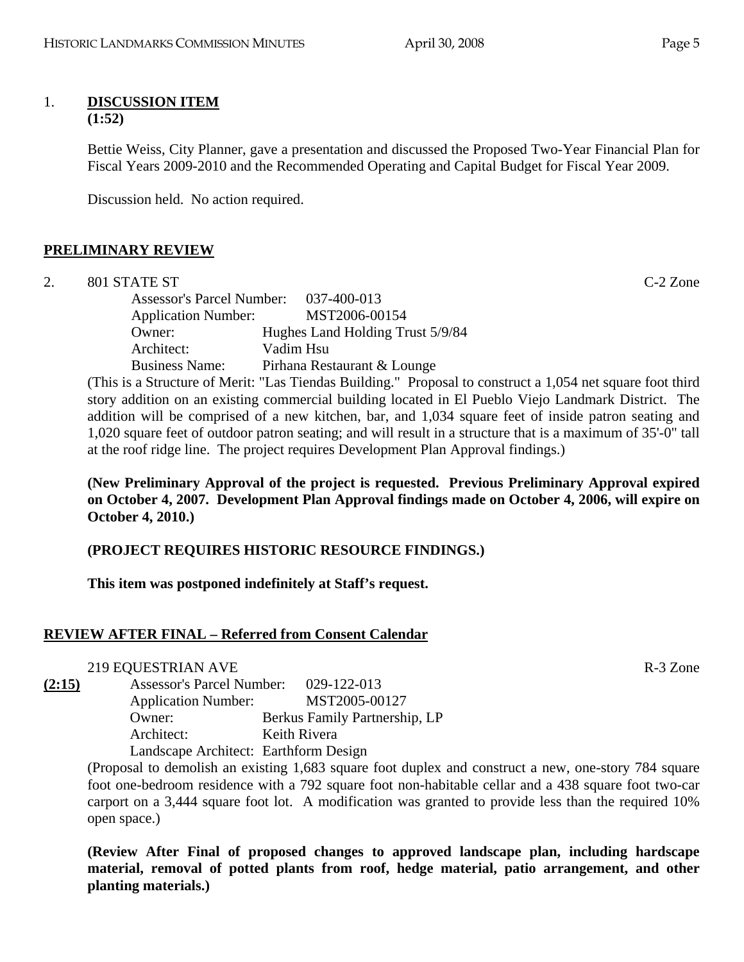#### 1. **DISCUSSION ITEM (1:52)**

Bettie Weiss, City Planner, gave a presentation and discussed the Proposed Two-Year Financial Plan for Fiscal Years 2009-2010 and the Recommended Operating and Capital Budget for Fiscal Year 2009.

Discussion held. No action required.

### **PRELIMINARY REVIEW**

2. 801 STATE ST C-2 Zone

Assessor's Parcel Number: 037-400-013 Application Number: MST2006-00154 Owner: Hughes Land Holding Trust 5/9/84 Architect: Vadim Hsu Business Name: Pirhana Restaurant & Lounge

(This is a Structure of Merit: "Las Tiendas Building." Proposal to construct a 1,054 net square foot third story addition on an existing commercial building located in El Pueblo Viejo Landmark District. The addition will be comprised of a new kitchen, bar, and 1,034 square feet of inside patron seating and 1,020 square feet of outdoor patron seating; and will result in a structure that is a maximum of 35'-0" tall at the roof ridge line. The project requires Development Plan Approval findings.)

**(New Preliminary Approval of the project is requested. Previous Preliminary Approval expired on October 4, 2007. Development Plan Approval findings made on October 4, 2006, will expire on October 4, 2010.)** 

### **(PROJECT REQUIRES HISTORIC RESOURCE FINDINGS.)**

**This item was postponed indefinitely at Staff's request.** 

### **REVIEW AFTER FINAL – Referred from Consent Calendar**

219 EQUESTRIAN AVE R-3 Zone

**(2:15)** Assessor's Parcel Number: 029-122-013 Application Number: MST2005-00127 Owner: Berkus Family Partnership, LP Architect: Keith Rivera Landscape Architect: Earthform Design

> (Proposal to demolish an existing 1,683 square foot duplex and construct a new, one-story 784 square foot one-bedroom residence with a 792 square foot non-habitable cellar and a 438 square foot two-car carport on a 3,444 square foot lot. A modification was granted to provide less than the required 10% open space.)

> **(Review After Final of proposed changes to approved landscape plan, including hardscape material, removal of potted plants from roof, hedge material, patio arrangement, and other planting materials.)**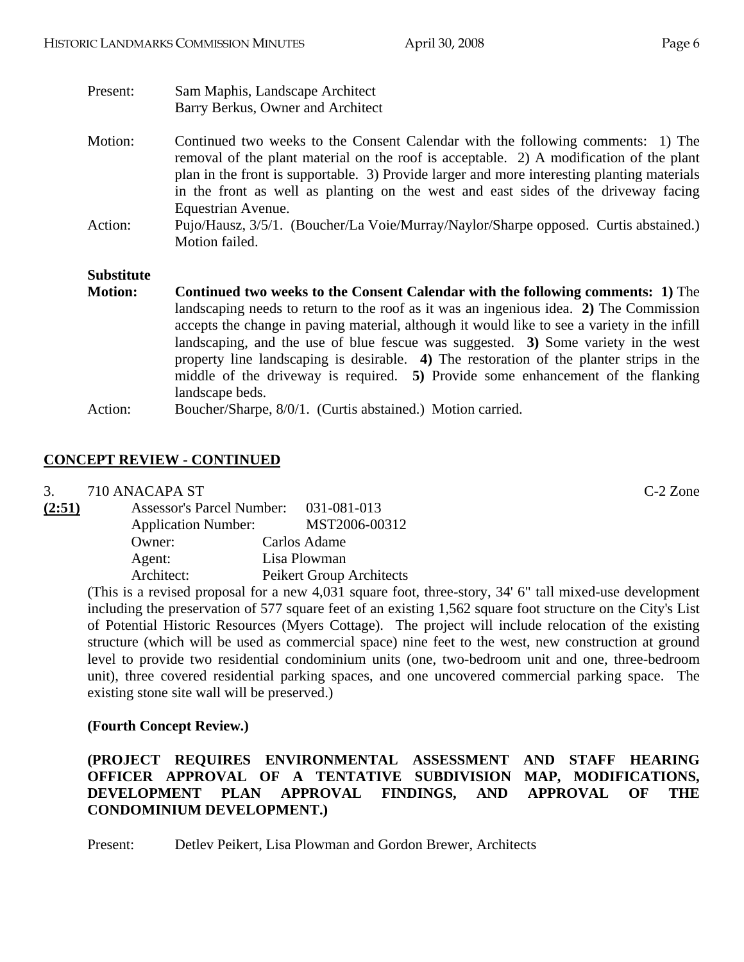| Present:          | Sam Maphis, Landscape Architect                                                                                                                                                                                                                                                                                                                                                                                                                                                                                                                      |  |  |
|-------------------|------------------------------------------------------------------------------------------------------------------------------------------------------------------------------------------------------------------------------------------------------------------------------------------------------------------------------------------------------------------------------------------------------------------------------------------------------------------------------------------------------------------------------------------------------|--|--|
|                   | Barry Berkus, Owner and Architect                                                                                                                                                                                                                                                                                                                                                                                                                                                                                                                    |  |  |
| Motion:           | Continued two weeks to the Consent Calendar with the following comments: 1) The<br>removal of the plant material on the roof is acceptable. 2) A modification of the plant<br>plan in the front is supportable. 3) Provide larger and more interesting planting materials<br>in the front as well as planting on the west and east sides of the driveway facing<br>Equestrian Avenue.                                                                                                                                                                |  |  |
| Action:           | Pujo/Hausz, 3/5/1. (Boucher/La Voie/Murray/Naylor/Sharpe opposed. Curtis abstained.)<br>Motion failed.                                                                                                                                                                                                                                                                                                                                                                                                                                               |  |  |
| <b>Substitute</b> |                                                                                                                                                                                                                                                                                                                                                                                                                                                                                                                                                      |  |  |
| <b>Motion:</b>    | <b>Continued two weeks to the Consent Calendar with the following comments: 1)</b> The<br>landscaping needs to return to the roof as it was an ingenious idea. 2) The Commission<br>accepts the change in paving material, although it would like to see a variety in the infill<br>landscaping, and the use of blue fescue was suggested. 3) Some variety in the west<br>property line landscaping is desirable. 4) The restoration of the planter strips in the<br>middle of the driveway is required. 5) Provide some enhancement of the flanking |  |  |

Action: Boucher/Sharpe, 8/0/1. (Curtis abstained.) Motion carried.

# **CONCEPT REVIEW - CONTINUED**

3. 710 ANACAPA ST C-2 Zone

| <b>Assessor's Parcel Number:</b> |                                                              | 031-081-013              |
|----------------------------------|--------------------------------------------------------------|--------------------------|
|                                  |                                                              | MST2006-00312            |
|                                  |                                                              | Carlos Adame             |
|                                  |                                                              | Lisa Plowman             |
|                                  |                                                              | Peikert Group Architects |
|                                  | <b>Application Number:</b><br>Owner:<br>Agent:<br>Architect: |                          |

landscape beds.

(This is a revised proposal for a new 4,031 square foot, three-story, 34' 6" tall mixed-use development including the preservation of 577 square feet of an existing 1,562 square foot structure on the City's List of Potential Historic Resources (Myers Cottage). The project will include relocation of the existing structure (which will be used as commercial space) nine feet to the west, new construction at ground level to provide two residential condominium units (one, two-bedroom unit and one, three-bedroom unit), three covered residential parking spaces, and one uncovered commercial parking space. The existing stone site wall will be preserved.)

# **(Fourth Concept Review.)**

## **(PROJECT REQUIRES ENVIRONMENTAL ASSESSMENT AND STAFF HEARING OFFICER APPROVAL OF A TENTATIVE SUBDIVISION MAP, MODIFICATIONS, DEVELOPMENT PLAN APPROVAL FINDINGS, AND APPROVAL OF THE CONDOMINIUM DEVELOPMENT.)**

Present: Detlev Peikert, Lisa Plowman and Gordon Brewer, Architects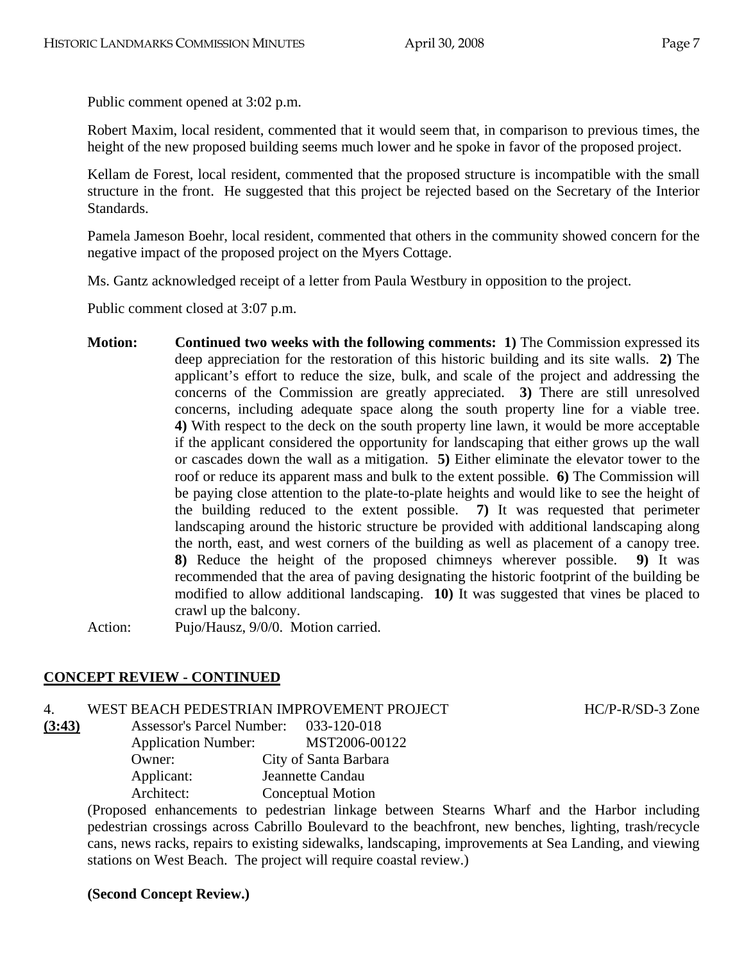Public comment opened at 3:02 p.m.

Robert Maxim, local resident, commented that it would seem that, in comparison to previous times, the height of the new proposed building seems much lower and he spoke in favor of the proposed project.

Kellam de Forest, local resident, commented that the proposed structure is incompatible with the small structure in the front. He suggested that this project be rejected based on the Secretary of the Interior Standards.

Pamela Jameson Boehr, local resident, commented that others in the community showed concern for the negative impact of the proposed project on the Myers Cottage.

Ms. Gantz acknowledged receipt of a letter from Paula Westbury in opposition to the project.

Public comment closed at 3:07 p.m.

**Motion: Continued two weeks with the following comments: 1)** The Commission expressed its deep appreciation for the restoration of this historic building and its site walls. **2)** The applicant's effort to reduce the size, bulk, and scale of the project and addressing the concerns of the Commission are greatly appreciated. **3)** There are still unresolved concerns, including adequate space along the south property line for a viable tree. **4)** With respect to the deck on the south property line lawn, it would be more acceptable if the applicant considered the opportunity for landscaping that either grows up the wall or cascades down the wall as a mitigation. **5)** Either eliminate the elevator tower to the roof or reduce its apparent mass and bulk to the extent possible. **6)** The Commission will be paying close attention to the plate-to-plate heights and would like to see the height of the building reduced to the extent possible. **7)** It was requested that perimeter landscaping around the historic structure be provided with additional landscaping along the north, east, and west corners of the building as well as placement of a canopy tree. **8)** Reduce the height of the proposed chimneys wherever possible. **9)** It was recommended that the area of paving designating the historic footprint of the building be modified to allow additional landscaping. **10)** It was suggested that vines be placed to crawl up the balcony.

Action: Pujo/Hausz, 9/0/0. Motion carried.

### **CONCEPT REVIEW - CONTINUED**

4. WEST BEACH PEDESTRIAN IMPROVEMENT PROJECT HC/P-R/SD-3 Zone

**(3:43)** Assessor's Parcel Number: 033-120-018 Application Number: MST2006-00122 Owner: City of Santa Barbara Applicant: Jeannette Candau Architect: Conceptual Motion

> (Proposed enhancements to pedestrian linkage between Stearns Wharf and the Harbor including pedestrian crossings across Cabrillo Boulevard to the beachfront, new benches, lighting, trash/recycle cans, news racks, repairs to existing sidewalks, landscaping, improvements at Sea Landing, and viewing stations on West Beach. The project will require coastal review.)

#### **(Second Concept Review.)**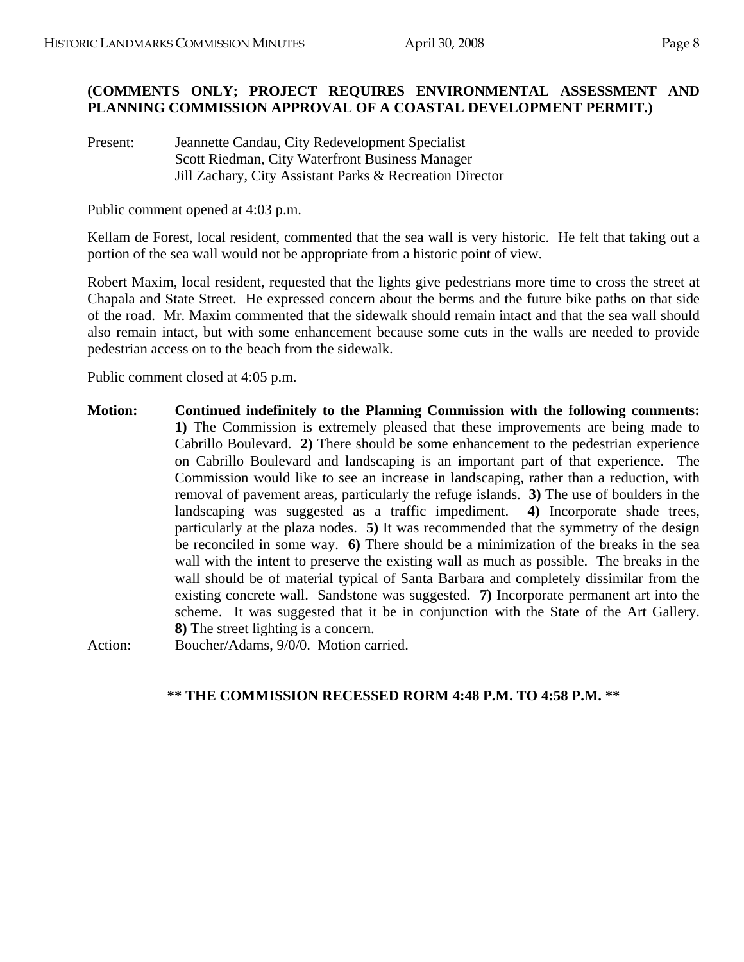## **(COMMENTS ONLY; PROJECT REQUIRES ENVIRONMENTAL ASSESSMENT AND PLANNING COMMISSION APPROVAL OF A COASTAL DEVELOPMENT PERMIT.)**

Present: Jeannette Candau, City Redevelopment Specialist Scott Riedman, City Waterfront Business Manager Jill Zachary, City Assistant Parks & Recreation Director

Public comment opened at 4:03 p.m.

Kellam de Forest, local resident, commented that the sea wall is very historic. He felt that taking out a portion of the sea wall would not be appropriate from a historic point of view.

Robert Maxim, local resident, requested that the lights give pedestrians more time to cross the street at Chapala and State Street. He expressed concern about the berms and the future bike paths on that side of the road. Mr. Maxim commented that the sidewalk should remain intact and that the sea wall should also remain intact, but with some enhancement because some cuts in the walls are needed to provide pedestrian access on to the beach from the sidewalk.

Public comment closed at 4:05 p.m.

**Motion: Continued indefinitely to the Planning Commission with the following comments: 1)** The Commission is extremely pleased that these improvements are being made to Cabrillo Boulevard. **2)** There should be some enhancement to the pedestrian experience on Cabrillo Boulevard and landscaping is an important part of that experience. The Commission would like to see an increase in landscaping, rather than a reduction, with removal of pavement areas, particularly the refuge islands. **3)** The use of boulders in the landscaping was suggested as a traffic impediment. **4)** Incorporate shade trees, particularly at the plaza nodes. **5)** It was recommended that the symmetry of the design be reconciled in some way. **6)** There should be a minimization of the breaks in the sea wall with the intent to preserve the existing wall as much as possible. The breaks in the wall should be of material typical of Santa Barbara and completely dissimilar from the existing concrete wall. Sandstone was suggested. **7)** Incorporate permanent art into the scheme. It was suggested that it be in conjunction with the State of the Art Gallery. **8)** The street lighting is a concern.

Action: Boucher/Adams, 9/0/0. Motion carried.

### **\*\* THE COMMISSION RECESSED RORM 4:48 P.M. TO 4:58 P.M. \*\***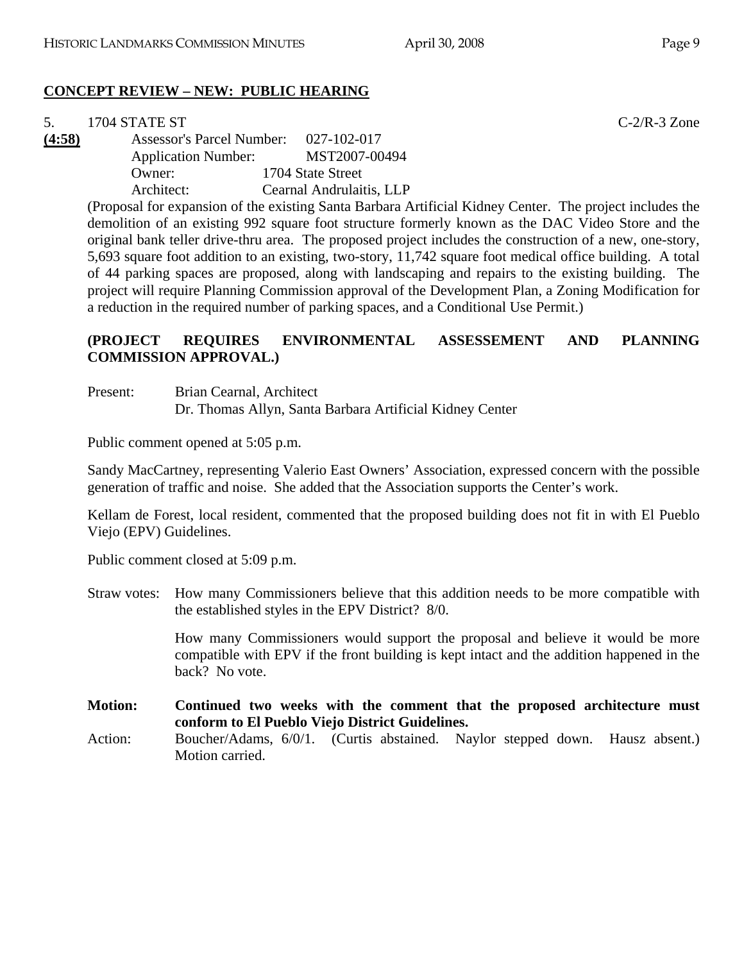# **CONCEPT REVIEW – NEW: PUBLIC HEARING**

|        | 1704 STATE ST<br>$C-2/R-3$ Zone                                                                           |
|--------|-----------------------------------------------------------------------------------------------------------|
| (4:58) | <b>Assessor's Parcel Number:</b><br>027-102-017                                                           |
|        | MST2007-00494<br><b>Application Number:</b>                                                               |
|        | Owner:<br>1704 State Street                                                                               |
|        | Cearnal Andrulaitis, LLP<br>Architect:                                                                    |
|        | (Proposal for expansion of the existing Santa Barbara Artificial Kidney Center. The project includes the  |
|        | demolition of an existing 992 square foot structure formerly known as the DAC Video Store and the         |
|        | original bank teller drive-thru area. The proposed project includes the construction of a new, one-story, |
|        | 5,693 square foot addition to an existing, two-story, 11,742 square foot medical office building. A total |
|        | of 44 parking spaces are proposed, along with landscaping and repairs to the existing building. The       |
|        | project will require Planning Commission approval of the Development Plan, a Zoning Modification for      |

## **(PROJECT REQUIRES ENVIRONMENTAL ASSESSEMENT AND PLANNING COMMISSION APPROVAL.)**

#### Present: Brian Cearnal, Architect Dr. Thomas Allyn, Santa Barbara Artificial Kidney Center

a reduction in the required number of parking spaces, and a Conditional Use Permit.)

Public comment opened at 5:05 p.m.

Sandy MacCartney, representing Valerio East Owners' Association, expressed concern with the possible generation of traffic and noise. She added that the Association supports the Center's work.

Kellam de Forest, local resident, commented that the proposed building does not fit in with El Pueblo Viejo (EPV) Guidelines.

Public comment closed at 5:09 p.m.

Straw votes: How many Commissioners believe that this addition needs to be more compatible with the established styles in the EPV District? 8/0.

> How many Commissioners would support the proposal and believe it would be more compatible with EPV if the front building is kept intact and the addition happened in the back? No vote.

**Motion: Continued two weeks with the comment that the proposed architecture must conform to El Pueblo Viejo District Guidelines.** 

Action: Boucher/Adams, 6/0/1. (Curtis abstained. Naylor stepped down. Hausz absent.) Motion carried.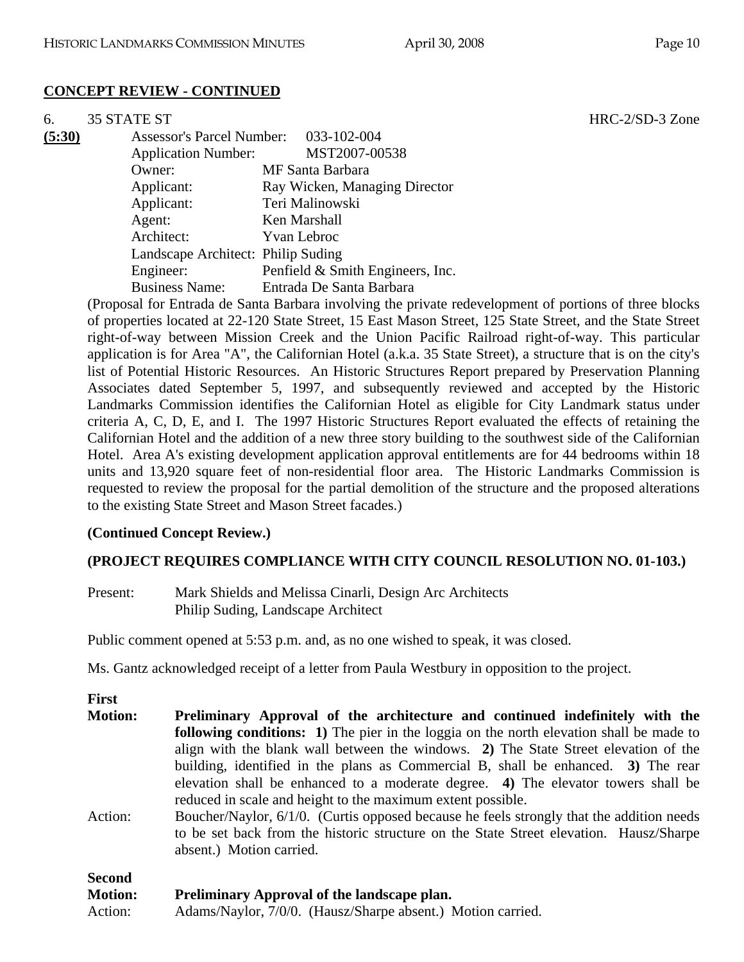### **CONCEPT REVIEW - CONTINUED**

| 6.     | 35 STATE ST                        |                                  |
|--------|------------------------------------|----------------------------------|
| (5:30) | <b>Assessor's Parcel Number:</b>   | 033-102-004                      |
|        | <b>Application Number:</b>         | MST2007-00538                    |
|        | Owner:                             | MF Santa Barbara                 |
|        | Applicant:                         | Ray Wicken, Managing Director    |
|        | Applicant:                         | Teri Malinowski                  |
|        | Agent:                             | Ken Marshall                     |
|        | Architect:                         | <b>Yvan Lebroc</b>               |
|        | Landscape Architect: Philip Suding |                                  |
|        | Engineer:                          | Penfield & Smith Engineers, Inc. |
|        | <b>Business Name:</b>              | Entrada De Santa Barbara         |

(Proposal for Entrada de Santa Barbara involving the private redevelopment of portions of three blocks of properties located at 22-120 State Street, 15 East Mason Street, 125 State Street, and the State Street right-of-way between Mission Creek and the Union Pacific Railroad right-of-way. This particular application is for Area "A", the Californian Hotel (a.k.a. 35 State Street), a structure that is on the city's list of Potential Historic Resources. An Historic Structures Report prepared by Preservation Planning Associates dated September 5, 1997, and subsequently reviewed and accepted by the Historic Landmarks Commission identifies the Californian Hotel as eligible for City Landmark status under criteria A, C, D, E, and I. The 1997 Historic Structures Report evaluated the effects of retaining the Californian Hotel and the addition of a new three story building to the southwest side of the Californian Hotel. Area A's existing development application approval entitlements are for 44 bedrooms within 18 units and 13,920 square feet of non-residential floor area. The Historic Landmarks Commission is requested to review the proposal for the partial demolition of the structure and the proposed alterations to the existing State Street and Mason Street facades.)

#### **(Continued Concept Review.)**

### **(PROJECT REQUIRES COMPLIANCE WITH CITY COUNCIL RESOLUTION NO. 01-103.)**

| Present: | Mark Shields and Melissa Cinarli, Design Arc Architects |
|----------|---------------------------------------------------------|
|          | Philip Suding, Landscape Architect                      |

Public comment opened at 5:53 p.m. and, as no one wished to speak, it was closed.

Ms. Gantz acknowledged receipt of a letter from Paula Westbury in opposition to the project.

|  | ۰,<br>٠<br>۰, |  |
|--|---------------|--|
|  |               |  |

| <b>Motion:</b> | Preliminary Approval of the architecture and continued indefinitely with the             |  |  |  |  |
|----------------|------------------------------------------------------------------------------------------|--|--|--|--|
|                | following conditions: 1) The pier in the loggia on the north elevation shall be made to  |  |  |  |  |
|                | align with the blank wall between the windows. 2) The State Street elevation of the      |  |  |  |  |
|                | building, identified in the plans as Commercial B, shall be enhanced. 3) The rear        |  |  |  |  |
|                | elevation shall be enhanced to a moderate degree. 4) The elevator towers shall be        |  |  |  |  |
|                | reduced in scale and height to the maximum extent possible.                              |  |  |  |  |
| Action:        | Boucher/Naylor, 6/1/0. (Curtis opposed because he feels strongly that the addition needs |  |  |  |  |

to be set back from the historic structure on the State Street elevation. Hausz/Sharpe absent.) Motion carried.

| <b>Second</b>  |                                                             |
|----------------|-------------------------------------------------------------|
| <b>Motion:</b> | <b>Preliminary Approval of the landscape plan.</b>          |
| Action:        | Adams/Naylor, 7/0/0. (Hausz/Sharpe absent.) Motion carried. |

HRC-2/SD-3 Zone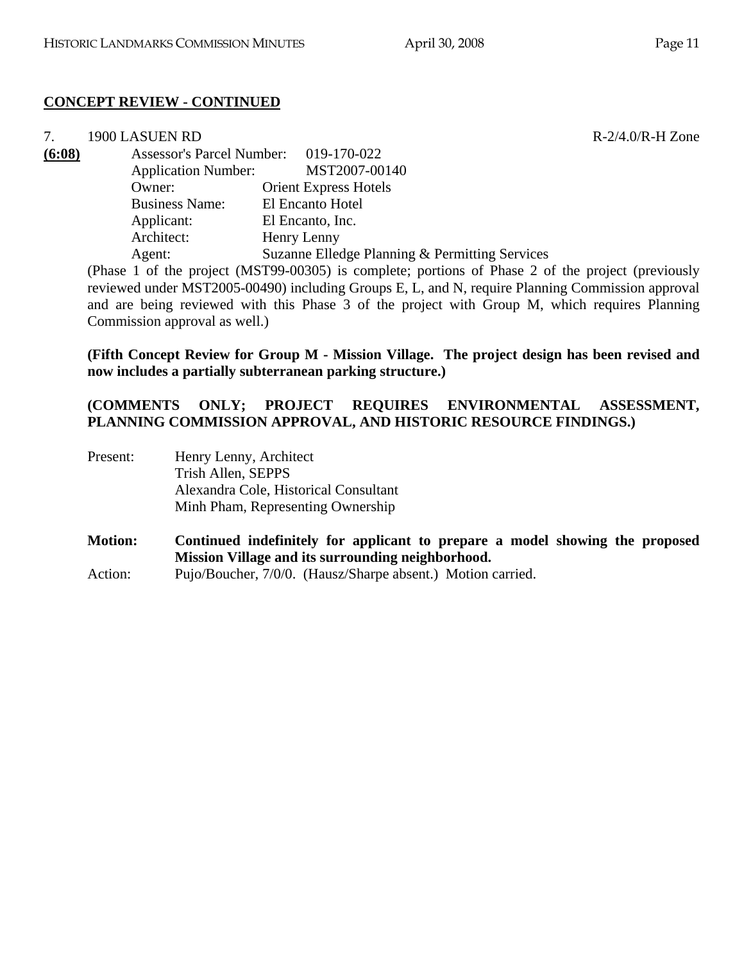## **CONCEPT REVIEW - CONTINUED**

7. 1900 LASUEN RD R-2/4.0/R-H Zone **(6:08)** Assessor's Parcel Number: 019-170-022 Application Number: MST2007-00140 Owner: Orient Express Hotels Business Name: El Encanto Hotel Applicant: El Encanto, Inc. Architect: Henry Lenny Agent: Suzanne Elledge Planning & Permitting Services

(Phase 1 of the project (MST99-00305) is complete; portions of Phase 2 of the project (previously reviewed under MST2005-00490) including Groups E, L, and N, require Planning Commission approval and are being reviewed with this Phase 3 of the project with Group M, which requires Planning Commission approval as well.)

**(Fifth Concept Review for Group M - Mission Village. The project design has been revised and now includes a partially subterranean parking structure.)** 

## **(COMMENTS ONLY; PROJECT REQUIRES ENVIRONMENTAL ASSESSMENT, PLANNING COMMISSION APPROVAL, AND HISTORIC RESOURCE FINDINGS.)**

Present: Henry Lenny, Architect Trish Allen, SEPPS Alexandra Cole, Historical Consultant Minh Pham, Representing Ownership

**Motion: Continued indefinitely for applicant to prepare a model showing the proposed Mission Village and its surrounding neighborhood.** 

Action: Pujo/Boucher, 7/0/0. (Hausz/Sharpe absent.) Motion carried.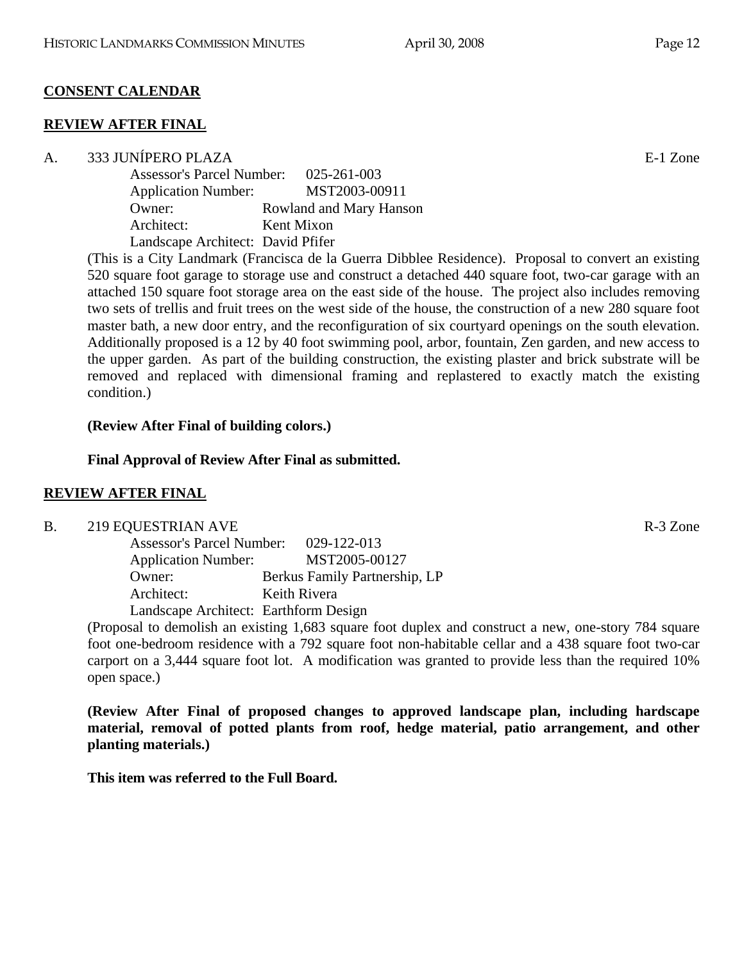# **CONSENT CALENDAR**

## **REVIEW AFTER FINAL**

### A. 333 JUNÍPERO PLAZA E-1 Zone

| <b>Assessor's Parcel Number:</b>  | 025-261-003             |
|-----------------------------------|-------------------------|
| <b>Application Number:</b>        | MST2003-00911           |
| Owner:                            | Rowland and Mary Hanson |
| Architect:                        | Kent Mixon              |
| Landscape Architect: David Pfifer |                         |

(This is a City Landmark (Francisca de la Guerra Dibblee Residence). Proposal to convert an existing 520 square foot garage to storage use and construct a detached 440 square foot, two-car garage with an attached 150 square foot storage area on the east side of the house. The project also includes removing two sets of trellis and fruit trees on the west side of the house, the construction of a new 280 square foot master bath, a new door entry, and the reconfiguration of six courtyard openings on the south elevation. Additionally proposed is a 12 by 40 foot swimming pool, arbor, fountain, Zen garden, and new access to the upper garden. As part of the building construction, the existing plaster and brick substrate will be removed and replaced with dimensional framing and replastered to exactly match the existing condition.)

# **(Review After Final of building colors.)**

# **Final Approval of Review After Final as submitted.**

# **REVIEW AFTER FINAL**

### B. 219 EQUESTRIAN AVE R-3 Zone

| <b>Assessor's Parcel Number:</b>      | 029-122-013                   |
|---------------------------------------|-------------------------------|
| <b>Application Number:</b>            | MST2005-00127                 |
| Owner:                                | Berkus Family Partnership, LP |
| Architect:                            | Keith Rivera                  |
| Landscape Architect: Earthform Design |                               |

(Proposal to demolish an existing 1,683 square foot duplex and construct a new, one-story 784 square foot one-bedroom residence with a 792 square foot non-habitable cellar and a 438 square foot two-car carport on a 3,444 square foot lot. A modification was granted to provide less than the required 10% open space.)

**(Review After Final of proposed changes to approved landscape plan, including hardscape material, removal of potted plants from roof, hedge material, patio arrangement, and other planting materials.)** 

**This item was referred to the Full Board.**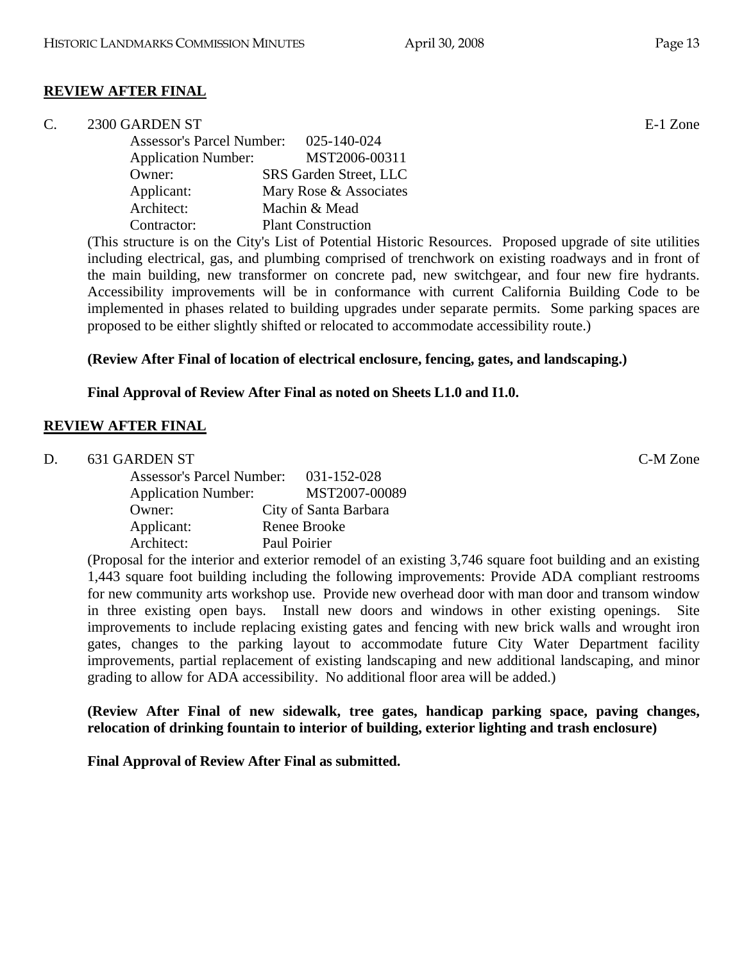# **REVIEW AFTER FINAL**

## C. 2300 GARDEN ST E-1 Zone

| <b>Assessor's Parcel Number:</b> | 025-140-024               |
|----------------------------------|---------------------------|
| <b>Application Number:</b>       | MST2006-00311             |
| Owner:                           | SRS Garden Street, LLC    |
| Applicant:                       | Mary Rose & Associates    |
| Architect:                       | Machin & Mead             |
| Contractor:                      | <b>Plant Construction</b> |

(This structure is on the City's List of Potential Historic Resources. Proposed upgrade of site utilities including electrical, gas, and plumbing comprised of trenchwork on existing roadways and in front of the main building, new transformer on concrete pad, new switchgear, and four new fire hydrants. Accessibility improvements will be in conformance with current California Building Code to be implemented in phases related to building upgrades under separate permits. Some parking spaces are proposed to be either slightly shifted or relocated to accommodate accessibility route.)

# **(Review After Final of location of electrical enclosure, fencing, gates, and landscaping.)**

## **Final Approval of Review After Final as noted on Sheets L1.0 and I1.0.**

# **REVIEW AFTER FINAL**

| D. | 631 GARDEN ST              |                                       | C-M Zone |
|----|----------------------------|---------------------------------------|----------|
|    |                            | Assessor's Parcel Number: 031-152-028 |          |
|    | <b>Application Number:</b> | MST2007-00089                         |          |
|    | Owner:                     | City of Santa Barbara                 |          |
|    | Applicant:                 | Renee Brooke                          |          |
|    | Architect:                 | Paul Poirier                          |          |

(Proposal for the interior and exterior remodel of an existing 3,746 square foot building and an existing 1,443 square foot building including the following improvements: Provide ADA compliant restrooms for new community arts workshop use. Provide new overhead door with man door and transom window in three existing open bays. Install new doors and windows in other existing openings. Site improvements to include replacing existing gates and fencing with new brick walls and wrought iron gates, changes to the parking layout to accommodate future City Water Department facility improvements, partial replacement of existing landscaping and new additional landscaping, and minor grading to allow for ADA accessibility. No additional floor area will be added.)

**(Review After Final of new sidewalk, tree gates, handicap parking space, paving changes, relocation of drinking fountain to interior of building, exterior lighting and trash enclosure)** 

**Final Approval of Review After Final as submitted.**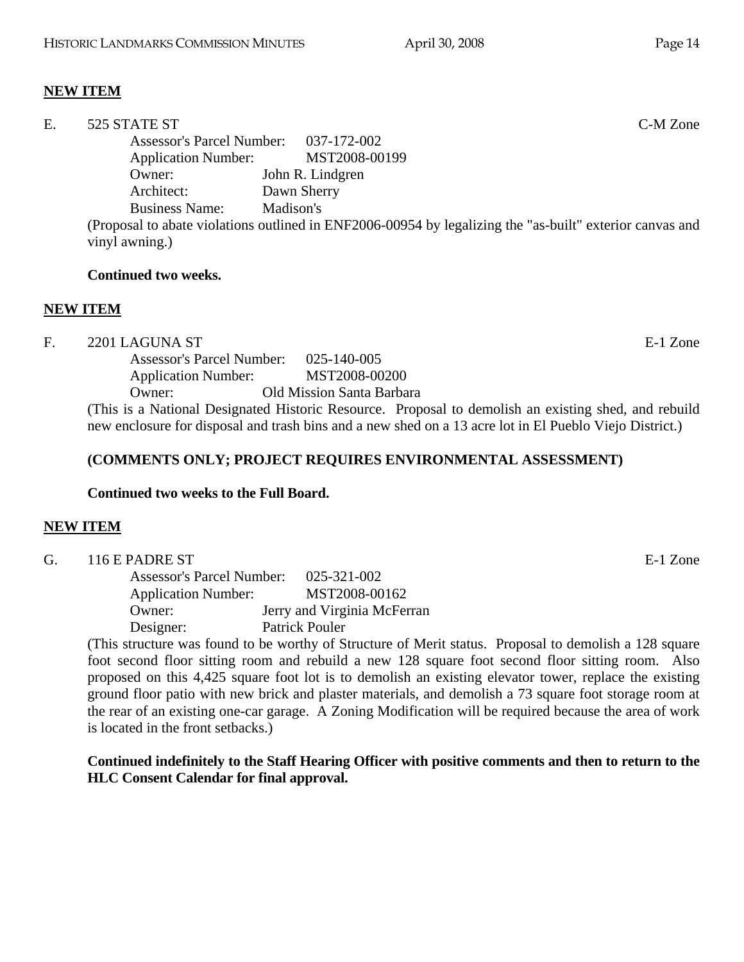## **NEW ITEM**

| E. | 525 STATE ST               |                                                                                                          | C-M Zone |
|----|----------------------------|----------------------------------------------------------------------------------------------------------|----------|
|    |                            | Assessor's Parcel Number: 037-172-002                                                                    |          |
|    | <b>Application Number:</b> | MST2008-00199                                                                                            |          |
|    | Owner:                     | John R. Lindgren                                                                                         |          |
|    | Architect:                 | Dawn Sherry                                                                                              |          |
|    | <b>Business Name:</b>      | Madison's                                                                                                |          |
|    |                            | (Proposal to abate violations outlined in ENF2006-00954 by legalizing the "as-built" exterior canvas and |          |
|    | vinyl awning.)             |                                                                                                          |          |
|    |                            |                                                                                                          |          |

#### **Continued two weeks.**

#### **NEW ITEM**

F. 2201 LAGUNA ST E-1 Zone

 Assessor's Parcel Number: 025-140-005 Application Number: MST2008-00200 Owner: Old Mission Santa Barbara

(This is a National Designated Historic Resource. Proposal to demolish an existing shed, and rebuild new enclosure for disposal and trash bins and a new shed on a 13 acre lot in El Pueblo Viejo District.)

#### **(COMMENTS ONLY; PROJECT REQUIRES ENVIRONMENTAL ASSESSMENT)**

#### **Continued two weeks to the Full Board.**

#### **NEW ITEM**

| G. | 116 E PADRE ST             |                                       | E-1 Zone |
|----|----------------------------|---------------------------------------|----------|
|    |                            | Assessor's Parcel Number: 025-321-002 |          |
|    | <b>Application Number:</b> | MST2008-00162                         |          |
|    | Owner:                     | Jerry and Virginia McFerran           |          |
|    | Designer:                  | Patrick Pouler                        |          |
|    |                            |                                       |          |

(This structure was found to be worthy of Structure of Merit status. Proposal to demolish a 128 square foot second floor sitting room and rebuild a new 128 square foot second floor sitting room. Also proposed on this 4,425 square foot lot is to demolish an existing elevator tower, replace the existing ground floor patio with new brick and plaster materials, and demolish a 73 square foot storage room at the rear of an existing one-car garage. A Zoning Modification will be required because the area of work is located in the front setbacks.)

#### **Continued indefinitely to the Staff Hearing Officer with positive comments and then to return to the HLC Consent Calendar for final approval.**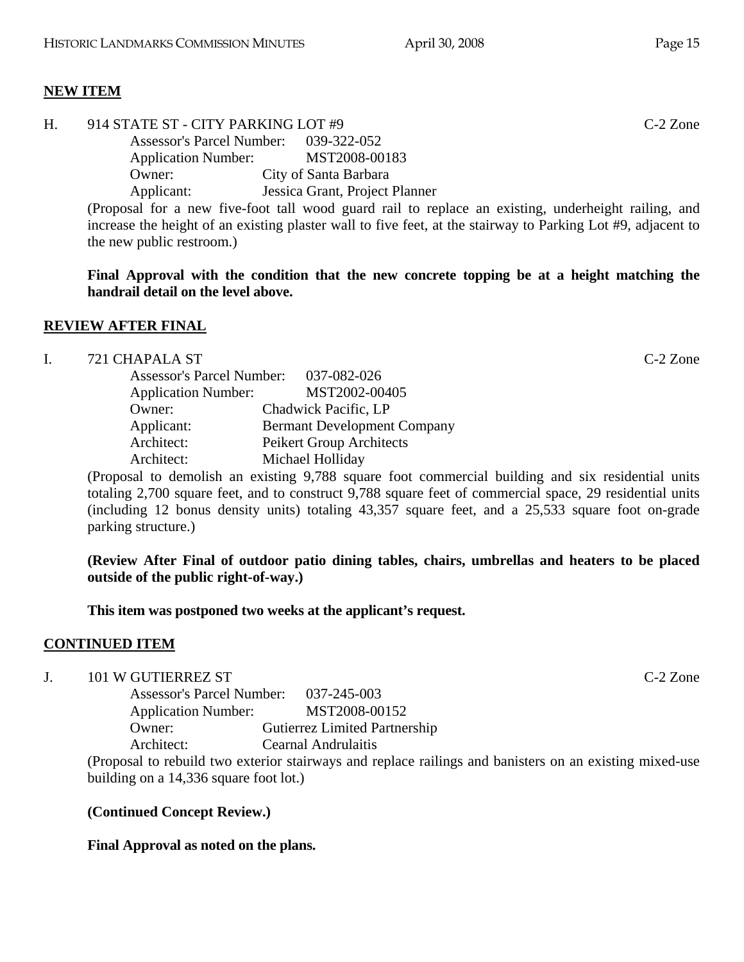## **NEW ITEM**

| Η. | 914 STATE ST - CITY PARKING LOT #9    |                                                                                                              | $C-2$ Zone |
|----|---------------------------------------|--------------------------------------------------------------------------------------------------------------|------------|
|    | Assessor's Parcel Number: 039-322-052 |                                                                                                              |            |
|    | <b>Application Number:</b>            | MST2008-00183                                                                                                |            |
|    | Owner:                                | City of Santa Barbara                                                                                        |            |
|    | Applicant:                            | Jessica Grant, Project Planner                                                                               |            |
|    |                                       | (Proposal for a new five-foot tall wood guard rail to replace an existing, underheight railing, and          |            |
|    |                                       | increase the height of an existing plaster wall to five feet, at the stairway to Parking Lot #9, adjacent to |            |
|    | the new public restroom.)             |                                                                                                              |            |

**Final Approval with the condition that the new concrete topping be at a height matching the handrail detail on the level above.** 

### **REVIEW AFTER FINAL**

# I. 721 CHAPALA ST C-2 Zone

| <b>Assessor's Parcel Number:</b> | 037-082-026                        |
|----------------------------------|------------------------------------|
| <b>Application Number:</b>       | MST2002-00405                      |
| Owner:                           | Chadwick Pacific, LP               |
| Applicant:                       | <b>Bermant Development Company</b> |
| Architect:                       | Peikert Group Architects           |
| Architect:                       | Michael Holliday                   |

(Proposal to demolish an existing 9,788 square foot commercial building and six residential units totaling 2,700 square feet, and to construct 9,788 square feet of commercial space, 29 residential units (including 12 bonus density units) totaling 43,357 square feet, and a 25,533 square foot on-grade parking structure.)

**(Review After Final of outdoor patio dining tables, chairs, umbrellas and heaters to be placed outside of the public right-of-way.)** 

**This item was postponed two weeks at the applicant's request.** 

# **CONTINUED ITEM**

J. 101 W GUTIERREZ ST C-2 Zone

 Assessor's Parcel Number: 037-245-003 Application Number: MST2008-00152 Owner: Gutierrez Limited Partnership Architect: Cearnal Andrulaitis

(Proposal to rebuild two exterior stairways and replace railings and banisters on an existing mixed-use building on a 14,336 square foot lot.)

# **(Continued Concept Review.)**

# **Final Approval as noted on the plans.**